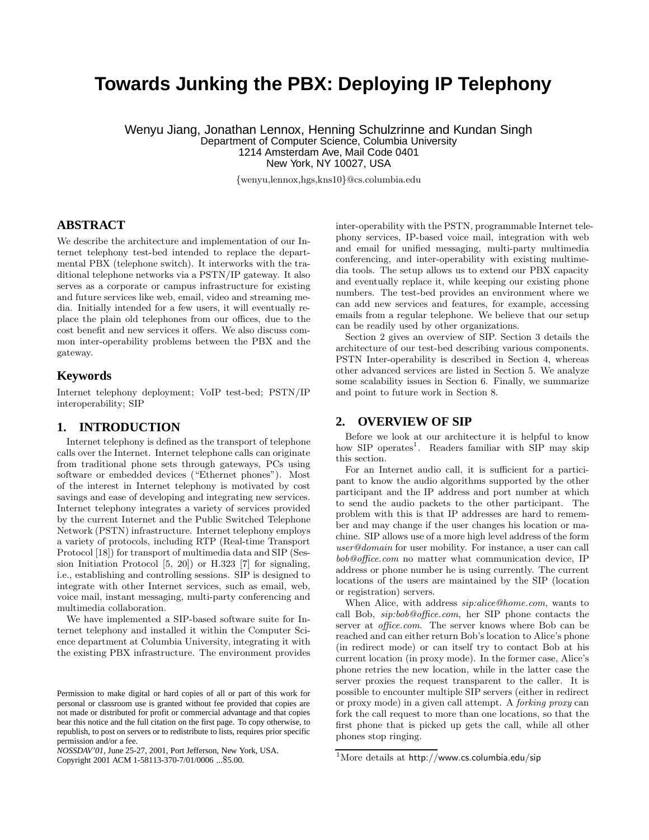# **Towards Junking the PBX: Deploying IP Telephony**

Wenyu Jiang, Jonathan Lennox, Henning Schulzrinne and Kundan Singh Department of Computer Science, Columbia University 1214 Amsterdam Ave, Mail Code 0401 New York, NY 10027, USA

{wenyu,lennox,hgs,kns10}@cs.columbia.edu

# **ABSTRACT**

We describe the architecture and implementation of our Internet telephony test-bed intended to replace the departmental PBX (telephone switch). It interworks with the traditional telephone networks via a PSTN/IP gateway. It also serves as a corporate or campus infrastructure for existing and future services like web, email, video and streaming media. Initially intended for a few users, it will eventually replace the plain old telephones from our offices, due to the cost benefit and new services it offers. We also discuss common inter-operability problems between the PBX and the gateway.

## **Keywords**

Internet telephony deployment; VoIP test-bed; PSTN/IP interoperability; SIP

### **1. INTRODUCTION**

Internet telephony is defined as the transport of telephone calls over the Internet. Internet telephone calls can originate from traditional phone sets through gateways, PCs using software or embedded devices ("Ethernet phones"). Most of the interest in Internet telephony is motivated by cost savings and ease of developing and integrating new services. Internet telephony integrates a variety of services provided by the current Internet and the Public Switched Telephone Network (PSTN) infrastructure. Internet telephony employs a variety of protocols, including RTP (Real-time Transport Protocol [18]) for transport of multimedia data and SIP (Session Initiation Protocol [5, 20]) or H.323 [7] for signaling, i.e., establishing and controlling sessions. SIP is designed to integrate with other Internet services, such as email, web, voice mail, instant messaging, multi-party conferencing and multimedia collaboration.

We have implemented a SIP-based software suite for Internet telephony and installed it within the Computer Science department at Columbia University, integrating it with the existing PBX infrastructure. The environment provides

Copyright 2001 ACM 1-58113-370-7/01/0006 ...\$5.00.

inter-operability with the PSTN, programmable Internet telephony services, IP-based voice mail, integration with web and email for unified messaging, multi-party multimedia conferencing, and inter-operability with existing multimedia tools. The setup allows us to extend our PBX capacity and eventually replace it, while keeping our existing phone numbers. The test-bed provides an environment where we can add new services and features, for example, accessing emails from a regular telephone. We believe that our setup can be readily used by other organizations.

Section 2 gives an overview of SIP. Section 3 details the architecture of our test-bed describing various components. PSTN Inter-operability is described in Section 4, whereas other advanced services are listed in Section 5. We analyze some scalability issues in Section 6. Finally, we summarize and point to future work in Section 8.

#### **2. OVERVIEW OF SIP**

Before we look at our architecture it is helpful to know how  $\text{SIP}$  operates<sup>1</sup>. Readers familiar with  $\text{SIP}$  may skip this section.

For an Internet audio call, it is sufficient for a participant to know the audio algorithms supported by the other participant and the IP address and port number at which to send the audio packets to the other participant. The problem with this is that IP addresses are hard to remember and may change if the user changes his location or machine. SIP allows use of a more high level address of the form user@domain for user mobility. For instance, a user can call bob@office.com no matter what communication device, IP address or phone number he is using currently. The current locations of the users are maintained by the SIP (location or registration) servers.

When Alice, with address sip:alice@home.com, wants to call Bob, sip:bob@office.com, her SIP phone contacts the server at office.com. The server knows where Bob can be reached and can either return Bob's location to Alice's phone (in redirect mode) or can itself try to contact Bob at his current location (in proxy mode). In the former case, Alice's phone retries the new location, while in the latter case the server proxies the request transparent to the caller. It is possible to encounter multiple SIP servers (either in redirect or proxy mode) in a given call attempt. A forking proxy can fork the call request to more than one locations, so that the first phone that is picked up gets the call, while all other phones stop ringing.

Permission to make digital or hard copies of all or part of this work for personal or classroom use is granted without fee provided that copies are not made or distributed for profit or commercial advantage and that copies bear this notice and the full citation on the first page. To copy otherwise, to republish, to post on servers or to redistribute to lists, requires prior specific permission and/or a fee.

*NOSSDAV'01,* June 25-27, 2001, Port Jefferson, New York, USA.

 $1$ More details at http://www.cs.columbia.edu/sip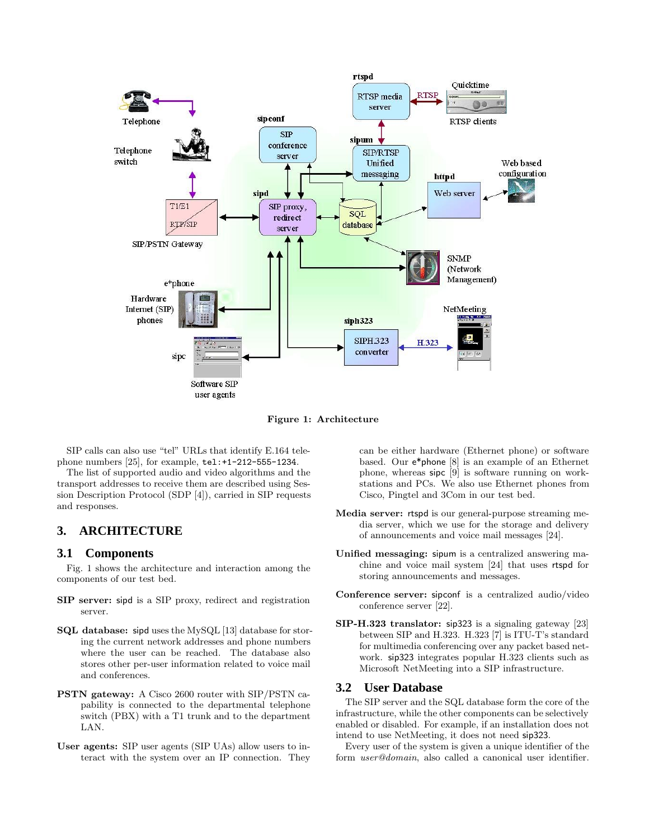

**Figure 1: Architecture**

SIP calls can also use "tel" URLs that identify E.164 telephone numbers [25], for example, tel:+1-212-555-1234.

The list of supported audio and video algorithms and the transport addresses to receive them are described using Session Description Protocol (SDP [4]), carried in SIP requests and responses.

# **3. ARCHITECTURE**

#### **3.1 Components**

Fig. 1 shows the architecture and interaction among the components of our test bed.

- **SIP server:** sipd is a SIP proxy, redirect and registration server.
- **SQL database:** sipd uses the MySQL [13] database for storing the current network addresses and phone numbers where the user can be reached. The database also stores other per-user information related to voice mail and conferences.
- **PSTN gateway:** A Cisco 2600 router with SIP/PSTN capability is connected to the departmental telephone switch (PBX) with a T1 trunk and to the department LAN.
- **User agents:** SIP user agents (SIP UAs) allow users to interact with the system over an IP connection. They

can be either hardware (Ethernet phone) or software based. Our e\*phone [8] is an example of an Ethernet phone, whereas sipc [9] is software running on workstations and PCs. We also use Ethernet phones from Cisco, Pingtel and 3Com in our test bed.

- **Media server:** rtspd is our general-purpose streaming media server, which we use for the storage and delivery of announcements and voice mail messages [24].
- **Unified messaging:** sipum is a centralized answering machine and voice mail system [24] that uses rtspd for storing announcements and messages.
- **Conference server:** sipconf is a centralized audio/video conference server [22].
- **SIP-H.323 translator:** sip323 is a signaling gateway [23] between SIP and H.323. H.323 [7] is ITU-T's standard for multimedia conferencing over any packet based network. sip323 integrates popular H.323 clients such as Microsoft NetMeeting into a SIP infrastructure.

#### **3.2 User Database**

The SIP server and the SQL database form the core of the infrastructure, while the other components can be selectively enabled or disabled. For example, if an installation does not intend to use NetMeeting, it does not need sip323.

Every user of the system is given a unique identifier of the form user@domain, also called a canonical user identifier.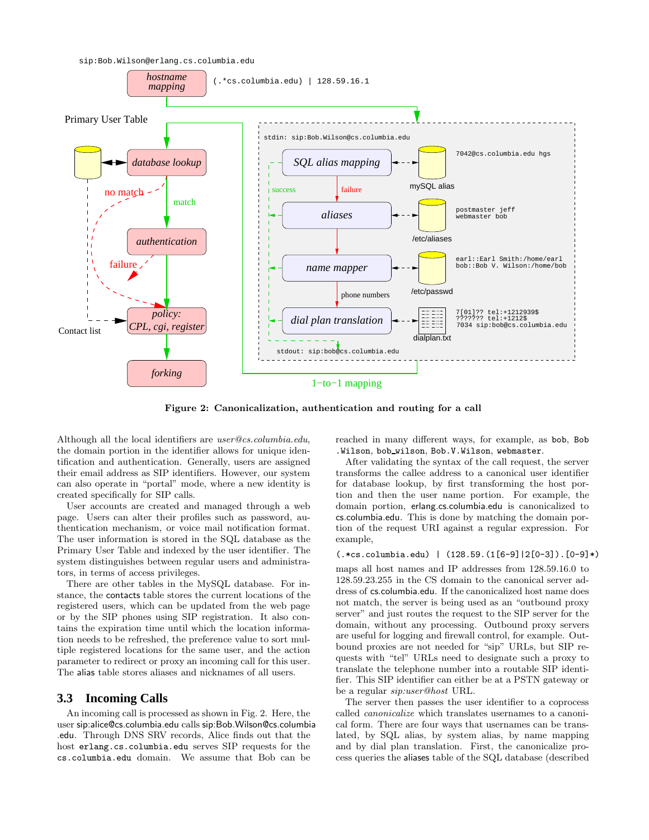sip:Bob.Wilson@erlang.cs.columbia.edu



**Figure 2: Canonicalization, authentication and routing for a call**

Although all the local identifiers are user@cs.columbia.edu, the domain portion in the identifier allows for unique identification and authentication. Generally, users are assigned their email address as SIP identifiers. However, our system can also operate in "portal" mode, where a new identity is created specifically for SIP calls.

User accounts are created and managed through a web page. Users can alter their profiles such as password, authentication mechanism, or voice mail notification format. The user information is stored in the SQL database as the Primary User Table and indexed by the user identifier. The system distinguishes between regular users and administrators, in terms of access privileges.

There are other tables in the MySQL database. For instance, the contacts table stores the current locations of the registered users, which can be updated from the web page or by the SIP phones using SIP registration. It also contains the expiration time until which the location information needs to be refreshed, the preference value to sort multiple registered locations for the same user, and the action parameter to redirect or proxy an incoming call for this user. The alias table stores aliases and nicknames of all users.

#### **3.3 Incoming Calls**

An incoming call is processed as shown in Fig. 2. Here, the user sip:alice@cs.columbia.edu calls sip:Bob.Wilson@cs.columbia .edu. Through DNS SRV records, Alice finds out that the host erlang.cs.columbia.edu serves SIP requests for the cs.columbia.edu domain. We assume that Bob can be

reached in many different ways, for example, as bob, Bob .Wilson, bob\_wilson, Bob.V.Wilson, webmaster.

After validating the syntax of the call request, the server transforms the callee address to a canonical user identifier for database lookup, by first transforming the host portion and then the user name portion. For example, the domain portion, erlang.cs.columbia.edu is canonicalized to cs.columbia.edu. This is done by matching the domain portion of the request URI against a regular expression. For example,

(.\*cs.columbia.edu) | (128.59.(1[6-9]|2[0-3]).[0-9]\*)

maps all host names and IP addresses from 128.59.16.0 to 128.59.23.255 in the CS domain to the canonical server address of cs.columbia.edu. If the canonicalized host name does not match, the server is being used as an "outbound proxy server" and just routes the request to the SIP server for the domain, without any processing. Outbound proxy servers are useful for logging and firewall control, for example. Outbound proxies are not needed for "sip" URLs, but SIP requests with "tel" URLs need to designate such a proxy to translate the telephone number into a routable SIP identifier. This SIP identifier can either be at a PSTN gateway or be a regular sip:user@host URL.

The server then passes the user identifier to a coprocess called canonicalize which translates usernames to a canonical form. There are four ways that usernames can be translated, by SQL alias, by system alias, by name mapping and by dial plan translation. First, the canonicalize process queries the aliases table of the SQL database (described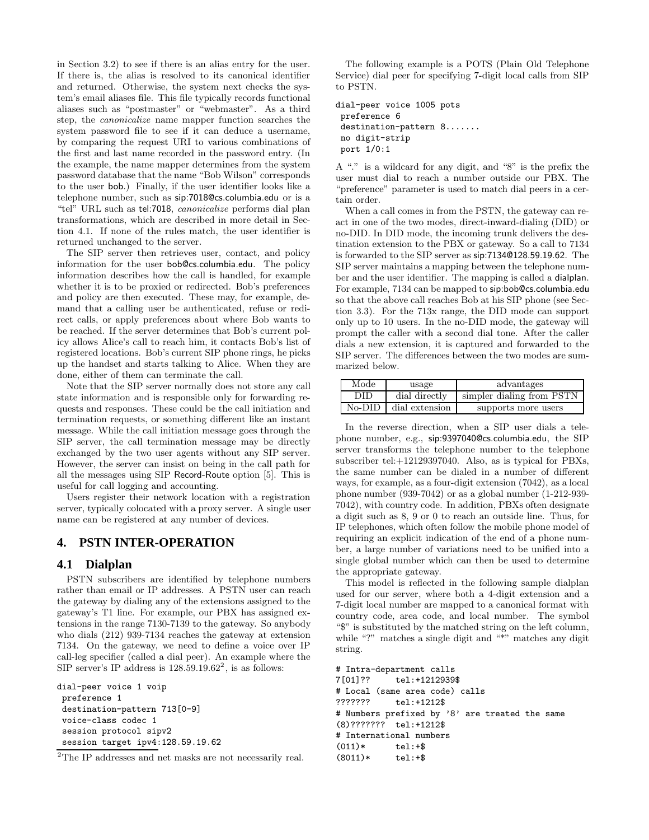in Section 3.2) to see if there is an alias entry for the user. If there is, the alias is resolved to its canonical identifier and returned. Otherwise, the system next checks the system's email aliases file. This file typically records functional aliases such as "postmaster" or "webmaster". As a third step, the canonicalize name mapper function searches the system password file to see if it can deduce a username, by comparing the request URI to various combinations of the first and last name recorded in the password entry. (In the example, the name mapper determines from the system password database that the name "Bob Wilson" corresponds to the user bob.) Finally, if the user identifier looks like a telephone number, such as sip:7018@cs.columbia.edu or is a "tel" URL such as tel:7018, canonicalize performs dial plan transformations, which are described in more detail in Section 4.1. If none of the rules match, the user identifier is returned unchanged to the server.

The SIP server then retrieves user, contact, and policy information for the user bob@cs.columbia.edu. The policy information describes how the call is handled, for example whether it is to be proxied or redirected. Bob's preferences and policy are then executed. These may, for example, demand that a calling user be authenticated, refuse or redirect calls, or apply preferences about where Bob wants to be reached. If the server determines that Bob's current policy allows Alice's call to reach him, it contacts Bob's list of registered locations. Bob's current SIP phone rings, he picks up the handset and starts talking to Alice. When they are done, either of them can terminate the call.

Note that the SIP server normally does not store any call state information and is responsible only for forwarding requests and responses. These could be the call initiation and termination requests, or something different like an instant message. While the call initiation message goes through the SIP server, the call termination message may be directly exchanged by the two user agents without any SIP server. However, the server can insist on being in the call path for all the messages using SIP Record-Route option [5]. This is useful for call logging and accounting.

Users register their network location with a registration server, typically colocated with a proxy server. A single user name can be registered at any number of devices.

# **4. PSTN INTER-OPERATION**

# **4.1 Dialplan**

PSTN subscribers are identified by telephone numbers rather than email or IP addresses. A PSTN user can reach the gateway by dialing any of the extensions assigned to the gateway's T1 line. For example, our PBX has assigned extensions in the range 7130-7139 to the gateway. So anybody who dials (212) 939-7134 reaches the gateway at extension 7134. On the gateway, we need to define a voice over IP call-leg specifier (called a dial peer). An example where the SIP server's IP address is  $128.59.19.62^2$ , is as follows:

```
dial-peer voice 1 voip
preference 1
destination-pattern 713[0-9]
voice-class codec 1
 session protocol sipv2
session target ipv4:128.59.19.62
```
 $\rm{^2The}$  IP addresses and net masks are not necessarily real.

The following example is a POTS (Plain Old Telephone Service) dial peer for specifying 7-digit local calls from SIP to PSTN.

```
dial-peer voice 1005 pots
preference 6
destination-pattern 8.......
no digit-strip
port 1/0:1
```
A "." is a wildcard for any digit, and "8" is the prefix the user must dial to reach a number outside our PBX. The "preference" parameter is used to match dial peers in a certain order.

When a call comes in from the PSTN, the gateway can react in one of the two modes, direct-inward-dialing (DID) or no-DID. In DID mode, the incoming trunk delivers the destination extension to the PBX or gateway. So a call to 7134 is forwarded to the SIP server as sip:7134@128.59.19.62. The SIP server maintains a mapping between the telephone number and the user identifier. The mapping is called a dialplan. For example, 7134 can be mapped to sip:bob@cs.columbia.edu so that the above call reaches Bob at his SIP phone (see Section 3.3). For the 713x range, the DID mode can support only up to 10 users. In the no-DID mode, the gateway will prompt the caller with a second dial tone. After the caller dials a new extension, it is captured and forwarded to the SIP server. The differences between the two modes are summarized below.

| Mode   | usage          | advantages                |
|--------|----------------|---------------------------|
| DID.   | dial directly  | simpler dialing from PSTN |
| No-DID | dial extension | supports more users       |

In the reverse direction, when a SIP user dials a telephone number, e.g., sip:9397040@cs.columbia.edu, the SIP server transforms the telephone number to the telephone subscriber tel:+12129397040. Also, as is typical for PBXs, the same number can be dialed in a number of different ways, for example, as a four-digit extension (7042), as a local phone number (939-7042) or as a global number (1-212-939- 7042), with country code. In addition, PBXs often designate a digit such as 8, 9 or 0 to reach an outside line. Thus, for IP telephones, which often follow the mobile phone model of requiring an explicit indication of the end of a phone number, a large number of variations need to be unified into a single global number which can then be used to determine the appropriate gateway.

This model is reflected in the following sample dialplan used for our server, where both a 4-digit extension and a 7-digit local number are mapped to a canonical format with country code, area code, and local number. The symbol "\$" is substituted by the matched string on the left column, while "?" matches a single digit and "\*" matches any digit string.

```
# Intra-department calls
7[01]?? tel:+1212939$
# Local (same area code) calls
??????? tel:+1212$
# Numbers prefixed by '8' are treated the same
(8)??????? tel:+1212$
# International numbers
(011)* tel:+$
(8011)* tel:+$
```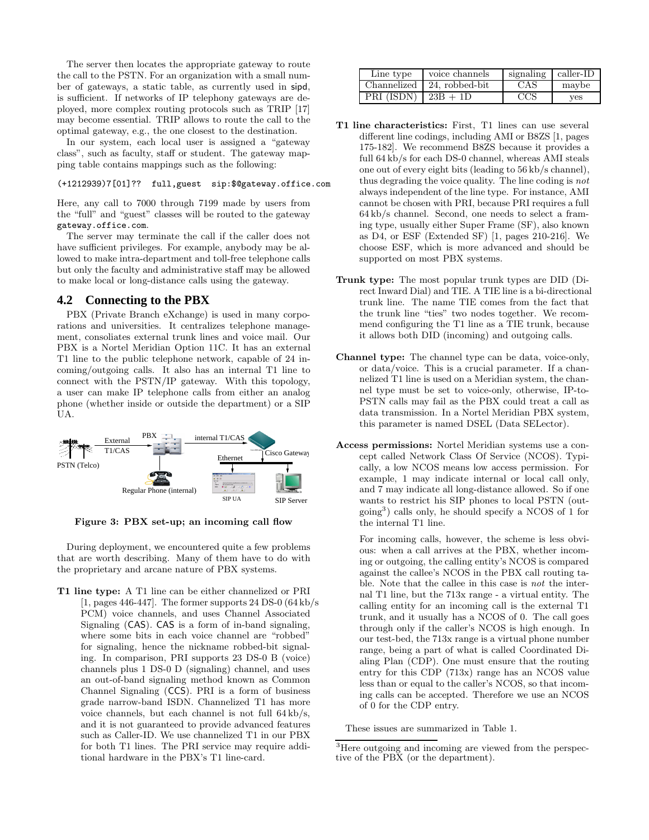The server then locates the appropriate gateway to route the call to the PSTN. For an organization with a small number of gateways, a static table, as currently used in sipd, is sufficient. If networks of IP telephony gateways are deployed, more complex routing protocols such as TRIP [17] may become essential. TRIP allows to route the call to the optimal gateway, e.g., the one closest to the destination.

In our system, each local user is assigned a "gateway class", such as faculty, staff or student. The gateway mapping table contains mappings such as the following:

#### (+1212939)7[01]?? full,guest sip:\$@gateway.office.com

Here, any call to 7000 through 7199 made by users from the "full" and "guest" classes will be routed to the gateway gateway.office.com.

The server may terminate the call if the caller does not have sufficient privileges. For example, anybody may be allowed to make intra-department and toll-free telephone calls but only the faculty and administrative staff may be allowed to make local or long-distance calls using the gateway.

#### **4.2 Connecting to the PBX**

PBX (Private Branch eXchange) is used in many corporations and universities. It centralizes telephone management, consoliates external trunk lines and voice mail. Our PBX is a Nortel Meridian Option 11C. It has an external T1 line to the public telephone network, capable of 24 incoming/outgoing calls. It also has an internal T1 line to connect with the PSTN/IP gateway. With this topology, a user can make IP telephone calls from either an analog phone (whether inside or outside the department) or a SIP UA.



**Figure 3: PBX set-up; an incoming call flow**

During deployment, we encountered quite a few problems that are worth describing. Many of them have to do with the proprietary and arcane nature of PBX systems.

**T1 line type:** A T1 line can be either channelized or PRI [1, pages 446-447]. The former supports  $24$  DS-0 (64 kb/s) PCM) voice channels, and uses Channel Associated Signaling (CAS). CAS is a form of in-band signaling, where some bits in each voice channel are "robbed" for signaling, hence the nickname robbed-bit signaling. In comparison, PRI supports 23 DS-0 B (voice) channels plus 1 DS-0 D (signaling) channel, and uses an out-of-band signaling method known as Common Channel Signaling (CCS). PRI is a form of business grade narrow-band ISDN. Channelized T1 has more voice channels, but each channel is not full 64 kb/s, and it is not guaranteed to provide advanced features such as Caller-ID. We use channelized T1 in our PBX for both T1 lines. The PRI service may require additional hardware in the PBX's T1 line-card.

| Line type                  | voice channels                     | signaling $ $ caller-ID |       |
|----------------------------|------------------------------------|-------------------------|-------|
|                            | Channelized $\vert$ 24. robbed-bit | CAS                     | maybe |
| PRI (ISDN) $\mid$ 23B + 1D |                                    | CCS                     | ves   |

- **T1 line characteristics:** First, T1 lines can use several different line codings, including AMI or B8ZS [1, pages 175-182]. We recommend B8ZS because it provides a full 64 kb/s for each DS-0 channel, whereas AMI steals one out of every eight bits (leading to 56 kb/s channel), thus degrading the voice quality. The line coding is not always independent of the line type. For instance, AMI cannot be chosen with PRI, because PRI requires a full 64 kb/s channel. Second, one needs to select a framing type, usually either Super Frame (SF), also known as D4, or ESF (Extended SF) [1, pages 210-216]. We choose ESF, which is more advanced and should be supported on most PBX systems.
- **Trunk type:** The most popular trunk types are DID (Direct Inward Dial) and TIE. A TIE line is a bi-directional trunk line. The name TIE comes from the fact that the trunk line "ties" two nodes together. We recommend configuring the T1 line as a TIE trunk, because it allows both DID (incoming) and outgoing calls.
- **Channel type:** The channel type can be data, voice-only, or data/voice. This is a crucial parameter. If a channelized T1 line is used on a Meridian system, the channel type must be set to voice-only, otherwise, IP-to-PSTN calls may fail as the PBX could treat a call as data transmission. In a Nortel Meridian PBX system, this parameter is named DSEL (Data SELector).
- **Access permissions:** Nortel Meridian systems use a concept called Network Class Of Service (NCOS). Typically, a low NCOS means low access permission. For example, 1 may indicate internal or local call only, and 7 may indicate all long-distance allowed. So if one wants to restrict his SIP phones to local PSTN (outgoing<sup>3</sup>) calls only, he should specify a NCOS of 1 for the internal T1 line.

For incoming calls, however, the scheme is less obvious: when a call arrives at the PBX, whether incoming or outgoing, the calling entity's NCOS is compared against the callee's NCOS in the PBX call routing table. Note that the callee in this case is not the internal T1 line, but the 713x range - a virtual entity. The calling entity for an incoming call is the external T1 trunk, and it usually has a NCOS of 0. The call goes through only if the caller's NCOS is high enough. In our test-bed, the 713x range is a virtual phone number range, being a part of what is called Coordinated Dialing Plan (CDP). One must ensure that the routing entry for this CDP (713x) range has an NCOS value less than or equal to the caller's NCOS, so that incoming calls can be accepted. Therefore we use an NCOS of 0 for the CDP entry.

These issues are summarized in Table 1.

<sup>3</sup>Here outgoing and incoming are viewed from the perspective of the PBX (or the department).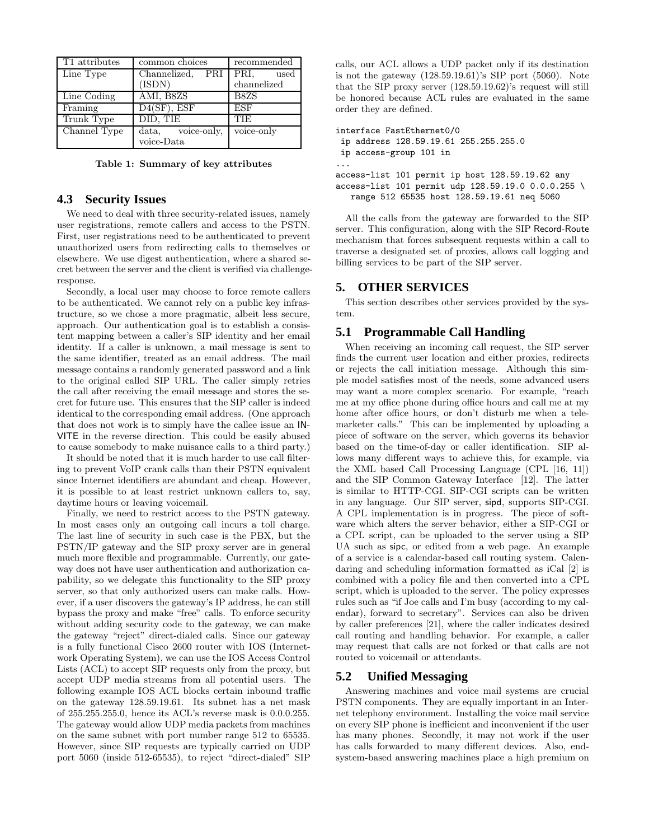| T1 attributes | common choices            | recommended  |
|---------------|---------------------------|--------------|
| Line Type     | Channelized,<br>$\rm PRI$ | PRI.<br>used |
|               | (ISDN)                    | channelized  |
| Line Coding   | AMI, B8ZS                 | B8ZS         |
| Framing       | $D4(SF)$ , ESF            | <b>ESF</b>   |
| Trunk Type    | DID, TIE                  | TIE.         |
| Channel Type  | data, voice-only,         | voice-only   |
|               | $\rm voice\text{-}Data$   |              |

**Table 1: Summary of key attributes**

#### **4.3 Security Issues**

We need to deal with three security-related issues, namely user registrations, remote callers and access to the PSTN. First, user registrations need to be authenticated to prevent unauthorized users from redirecting calls to themselves or elsewhere. We use digest authentication, where a shared secret between the server and the client is verified via challengeresponse.

Secondly, a local user may choose to force remote callers to be authenticated. We cannot rely on a public key infrastructure, so we chose a more pragmatic, albeit less secure, approach. Our authentication goal is to establish a consistent mapping between a caller's SIP identity and her email identity. If a caller is unknown, a mail message is sent to the same identifier, treated as an email address. The mail message contains a randomly generated password and a link to the original called SIP URL. The caller simply retries the call after receiving the email message and stores the secret for future use. This ensures that the SIP caller is indeed identical to the corresponding email address. (One approach that does not work is to simply have the callee issue an IN-VITE in the reverse direction. This could be easily abused to cause somebody to make nuisance calls to a third party.)

It should be noted that it is much harder to use call filtering to prevent VoIP crank calls than their PSTN equivalent since Internet identifiers are abundant and cheap. However, it is possible to at least restrict unknown callers to, say, daytime hours or leaving voicemail.

Finally, we need to restrict access to the PSTN gateway. In most cases only an outgoing call incurs a toll charge. The last line of security in such case is the PBX, but the PSTN/IP gateway and the SIP proxy server are in general much more flexible and programmable. Currently, our gateway does not have user authentication and authorization capability, so we delegate this functionality to the SIP proxy server, so that only authorized users can make calls. However, if a user discovers the gateway's IP address, he can still bypass the proxy and make "free" calls. To enforce security without adding security code to the gateway, we can make the gateway "reject" direct-dialed calls. Since our gateway is a fully functional Cisco 2600 router with IOS (Internetwork Operating System), we can use the IOS Access Control Lists (ACL) to accept SIP requests only from the proxy, but accept UDP media streams from all potential users. The following example IOS ACL blocks certain inbound traffic on the gateway 128.59.19.61. Its subnet has a net mask of 255.255.255.0, hence its ACL's reverse mask is 0.0.0.255. The gateway would allow UDP media packets from machines on the same subnet with port number range 512 to 65535. However, since SIP requests are typically carried on UDP port 5060 (inside 512-65535), to reject "direct-dialed" SIP calls, our ACL allows a UDP packet only if its destination is not the gateway (128.59.19.61)'s SIP port (5060). Note that the SIP proxy server (128.59.19.62)'s request will still be honored because ACL rules are evaluated in the same order they are defined.

```
interface FastEthernet0/0
ip address 128.59.19.61 255.255.255.0
ip access-group 101 in
...
access-list 101 permit ip host 128.59.19.62 any
access-list 101 permit udp 128.59.19.0 0.0.0.255 \
   range 512 65535 host 128.59.19.61 neq 5060
```
All the calls from the gateway are forwarded to the SIP server. This configuration, along with the SIP Record-Route mechanism that forces subsequent requests within a call to traverse a designated set of proxies, allows call logging and billing services to be part of the SIP server.

## **5. OTHER SERVICES**

This section describes other services provided by the system.

#### **5.1 Programmable Call Handling**

When receiving an incoming call request, the SIP server finds the current user location and either proxies, redirects or rejects the call initiation message. Although this simple model satisfies most of the needs, some advanced users may want a more complex scenario. For example, "reach me at my office phone during office hours and call me at my home after office hours, or don't disturb me when a telemarketer calls." This can be implemented by uploading a piece of software on the server, which governs its behavior based on the time-of-day or caller identification. SIP allows many different ways to achieve this, for example, via the XML based Call Processing Language (CPL [16, 11]) and the SIP Common Gateway Interface [12]. The latter is similar to HTTP-CGI. SIP-CGI scripts can be written in any language. Our SIP server, sipd, supports SIP-CGI. A CPL implementation is in progress. The piece of software which alters the server behavior, either a SIP-CGI or a CPL script, can be uploaded to the server using a SIP UA such as sipc, or edited from a web page. An example of a service is a calendar-based call routing system. Calendaring and scheduling information formatted as iCal [2] is combined with a policy file and then converted into a CPL script, which is uploaded to the server. The policy expresses rules such as "if Joe calls and I'm busy (according to my calendar), forward to secretary". Services can also be driven by caller preferences [21], where the caller indicates desired call routing and handling behavior. For example, a caller may request that calls are not forked or that calls are not routed to voicemail or attendants.

#### **5.2 Unified Messaging**

Answering machines and voice mail systems are crucial PSTN components. They are equally important in an Internet telephony environment. Installing the voice mail service on every SIP phone is inefficient and inconvenient if the user has many phones. Secondly, it may not work if the user has calls forwarded to many different devices. Also, endsystem-based answering machines place a high premium on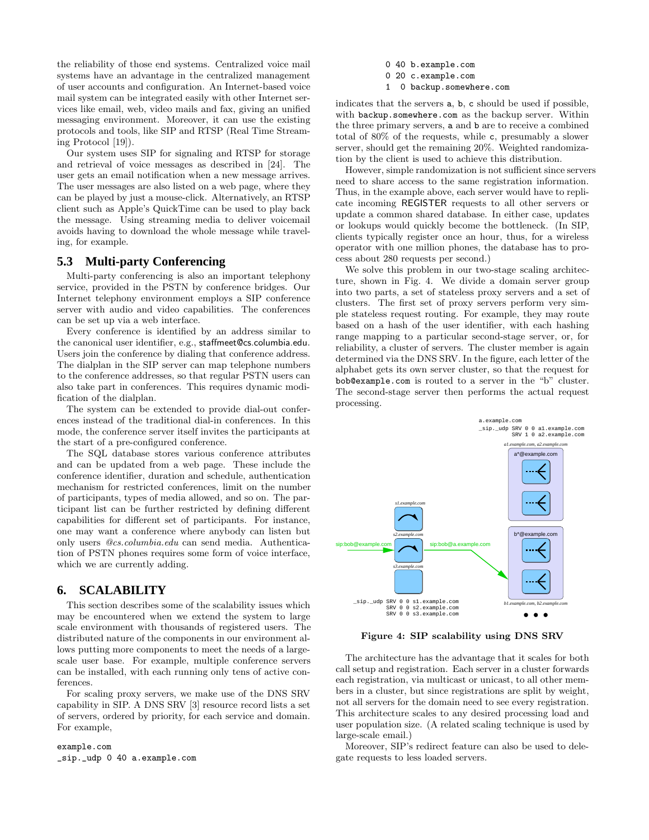the reliability of those end systems. Centralized voice mail systems have an advantage in the centralized management of user accounts and configuration. An Internet-based voice mail system can be integrated easily with other Internet services like email, web, video mails and fax, giving an unified messaging environment. Moreover, it can use the existing protocols and tools, like SIP and RTSP (Real Time Streaming Protocol [19]).

Our system uses SIP for signaling and RTSP for storage and retrieval of voice messages as described in [24]. The user gets an email notification when a new message arrives. The user messages are also listed on a web page, where they can be played by just a mouse-click. Alternatively, an RTSP client such as Apple's QuickTime can be used to play back the message. Using streaming media to deliver voicemail avoids having to download the whole message while traveling, for example.

# **5.3 Multi-party Conferencing**

Multi-party conferencing is also an important telephony service, provided in the PSTN by conference bridges. Our Internet telephony environment employs a SIP conference server with audio and video capabilities. The conferences can be set up via a web interface.

Every conference is identified by an address similar to the canonical user identifier, e.g., staffmeet@cs.columbia.edu. Users join the conference by dialing that conference address. The dialplan in the SIP server can map telephone numbers to the conference addresses, so that regular PSTN users can also take part in conferences. This requires dynamic modification of the dialplan.

The system can be extended to provide dial-out conferences instead of the traditional dial-in conferences. In this mode, the conference server itself invites the participants at the start of a pre-configured conference.

The SQL database stores various conference attributes and can be updated from a web page. These include the conference identifier, duration and schedule, authentication mechanism for restricted conferences, limit on the number of participants, types of media allowed, and so on. The participant list can be further restricted by defining different capabilities for different set of participants. For instance, one may want a conference where anybody can listen but only users @cs.columbia.edu can send media. Authentication of PSTN phones requires some form of voice interface, which we are currently adding.

# **6. SCALABILITY**

This section describes some of the scalability issues which may be encountered when we extend the system to large scale environment with thousands of registered users. The distributed nature of the components in our environment allows putting more components to meet the needs of a largescale user base. For example, multiple conference servers can be installed, with each running only tens of active conferences.

For scaling proxy servers, we make use of the DNS SRV capability in SIP. A DNS SRV [3] resource record lists a set of servers, ordered by priority, for each service and domain. For example,

example.com \_sip.\_udp 0 40 a.example.com

- 0 40 b.example.com
- 0 20 c.example.com
- 1 0 backup.somewhere.com

indicates that the servers a, b, c should be used if possible, with backup.somewhere.com as the backup server. Within the three primary servers, a and b are to receive a combined total of 80% of the requests, while c, presumably a slower server, should get the remaining 20%. Weighted randomization by the client is used to achieve this distribution.

However, simple randomization is not sufficient since servers need to share access to the same registration information. Thus, in the example above, each server would have to replicate incoming REGISTER requests to all other servers or update a common shared database. In either case, updates or lookups would quickly become the bottleneck. (In SIP, clients typically register once an hour, thus, for a wireless operator with one million phones, the database has to process about 280 requests per second.)

We solve this problem in our two-stage scaling architecture, shown in Fig. 4. We divide a domain server group into two parts, a set of stateless proxy servers and a set of clusters. The first set of proxy servers perform very simple stateless request routing. For example, they may route based on a hash of the user identifier, with each hashing range mapping to a particular second-stage server, or, for reliability, a cluster of servers. The cluster member is again determined via the DNS SRV. In the figure, each letter of the alphabet gets its own server cluster, so that the request for bob@example.com is routed to a server in the "b" cluster. The second-stage server then performs the actual request processing.



**Figure 4: SIP scalability using DNS SRV**

The architecture has the advantage that it scales for both call setup and registration. Each server in a cluster forwards each registration, via multicast or unicast, to all other members in a cluster, but since registrations are split by weight, not all servers for the domain need to see every registration. This architecture scales to any desired processing load and user population size. (A related scaling technique is used by large-scale email.)

Moreover, SIP's redirect feature can also be used to delegate requests to less loaded servers.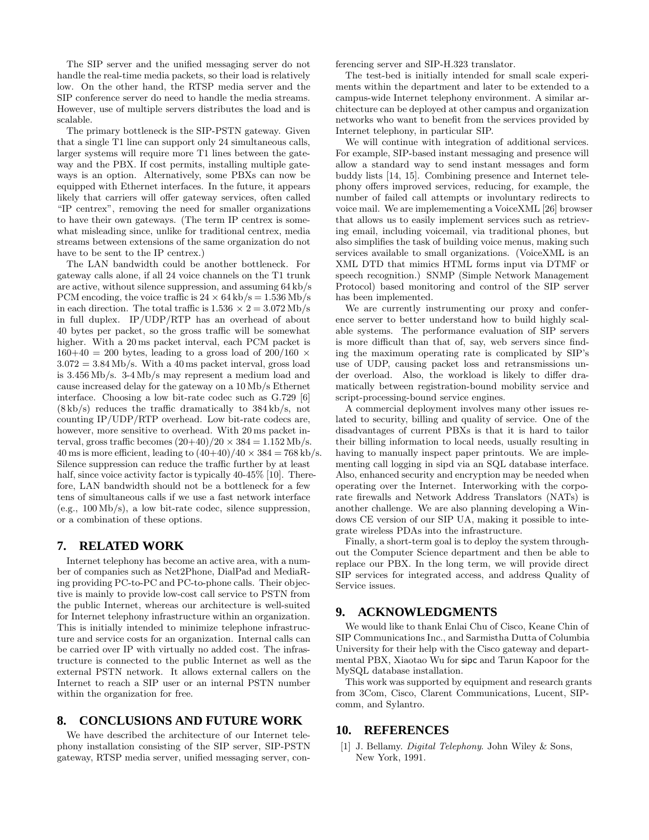The SIP server and the unified messaging server do not handle the real-time media packets, so their load is relatively low. On the other hand, the RTSP media server and the SIP conference server do need to handle the media streams. However, use of multiple servers distributes the load and is scalable.

The primary bottleneck is the SIP-PSTN gateway. Given that a single T1 line can support only 24 simultaneous calls, larger systems will require more T1 lines between the gateway and the PBX. If cost permits, installing multiple gateways is an option. Alternatively, some PBXs can now be equipped with Ethernet interfaces. In the future, it appears likely that carriers will offer gateway services, often called "IP centrex", removing the need for smaller organizations to have their own gateways. (The term IP centrex is somewhat misleading since, unlike for traditional centrex, media streams between extensions of the same organization do not have to be sent to the IP centrex.)

The LAN bandwidth could be another bottleneck. For gateway calls alone, if all 24 voice channels on the T1 trunk are active, without silence suppression, and assuming 64 kb/s PCM encoding, the voice traffic is  $24 \times 64$  kb/s = 1.536 Mb/s in each direction. The total traffic is  $1.536 \times 2 = 3.072 \text{ Mb/s}$ in full duplex. IP/UDP/RTP has an overhead of about 40 bytes per packet, so the gross traffic will be somewhat higher. With a 20 ms packet interval, each PCM packet is  $160+40 = 200$  bytes, leading to a gross load of  $200/160 \times$  $3.072 = 3.84 \text{ Mb/s}$ . With a 40 ms packet interval, gross load is 3.456 Mb/s. 3-4 Mb/s may represent a medium load and cause increased delay for the gateway on a 10 Mb/s Ethernet interface. Choosing a low bit-rate codec such as G.729 [6] (8 kb/s) reduces the traffic dramatically to 384 kb/s, not counting IP/UDP/RTP overhead. Low bit-rate codecs are, however, more sensitive to overhead. With 20 ms packet interval, gross traffic becomes  $(20+40)/20 \times 384 = 1.152 \text{ Mb/s}.$ 40 ms is more efficient, leading to  $(40+40)/40 \times 384 = 768$  kb/s. Silence suppression can reduce the traffic further by at least half, since voice activity factor is typically 40-45\% [10]. Therefore, LAN bandwidth should not be a bottleneck for a few tens of simultaneous calls if we use a fast network interface (e.g., 100 Mb/s), a low bit-rate codec, silence suppression, or a combination of these options.

#### **7. RELATED WORK**

Internet telephony has become an active area, with a number of companies such as Net2Phone, DialPad and MediaRing providing PC-to-PC and PC-to-phone calls. Their objective is mainly to provide low-cost call service to PSTN from the public Internet, whereas our architecture is well-suited for Internet telephony infrastructure within an organization. This is initially intended to minimize telephone infrastructure and service costs for an organization. Internal calls can be carried over IP with virtually no added cost. The infrastructure is connected to the public Internet as well as the external PSTN network. It allows external callers on the Internet to reach a SIP user or an internal PSTN number within the organization for free.

## **8. CONCLUSIONS AND FUTURE WORK**

We have described the architecture of our Internet telephony installation consisting of the SIP server, SIP-PSTN gateway, RTSP media server, unified messaging server, conferencing server and SIP-H.323 translator.

The test-bed is initially intended for small scale experiments within the department and later to be extended to a campus-wide Internet telephony environment. A similar architecture can be deployed at other campus and organization networks who want to benefit from the services provided by Internet telephony, in particular SIP.

We will continue with integration of additional services. For example, SIP-based instant messaging and presence will allow a standard way to send instant messages and form buddy lists [14, 15]. Combining presence and Internet telephony offers improved services, reducing, for example, the number of failed call attempts or involuntary redirects to voice mail. We are implemementing a VoiceXML [26] browser that allows us to easily implement services such as retrieving email, including voicemail, via traditional phones, but also simplifies the task of building voice menus, making such services available to small organizations. (VoiceXML is an XML DTD that mimics HTML forms input via DTMF or speech recognition.) SNMP (Simple Network Management Protocol) based monitoring and control of the SIP server has been implemented.

We are currently instrumenting our proxy and conference server to better understand how to build highly scalable systems. The performance evaluation of SIP servers is more difficult than that of, say, web servers since finding the maximum operating rate is complicated by SIP's use of UDP, causing packet loss and retransmissions under overload. Also, the workload is likely to differ dramatically between registration-bound mobility service and script-processing-bound service engines.

A commercial deployment involves many other issues related to security, billing and quality of service. One of the disadvantages of current PBXs is that it is hard to tailor their billing information to local needs, usually resulting in having to manually inspect paper printouts. We are implementing call logging in sipd via an SQL database interface. Also, enhanced security and encryption may be needed when operating over the Internet. Interworking with the corporate firewalls and Network Address Translators (NATs) is another challenge. We are also planning developing a Windows CE version of our SIP UA, making it possible to integrate wireless PDAs into the infrastructure.

Finally, a short-term goal is to deploy the system throughout the Computer Science department and then be able to replace our PBX. In the long term, we will provide direct SIP services for integrated access, and address Quality of Service issues.

# **9. ACKNOWLEDGMENTS**

We would like to thank Enlai Chu of Cisco, Keane Chin of SIP Communications Inc., and Sarmistha Dutta of Columbia University for their help with the Cisco gateway and departmental PBX, Xiaotao Wu for sipc and Tarun Kapoor for the MySQL database installation.

This work was supported by equipment and research grants from 3Com, Cisco, Clarent Communications, Lucent, SIPcomm, and Sylantro.

# **10. REFERENCES**

[1] J. Bellamy. *Digital Telephony*. John Wiley & Sons, New York, 1991.